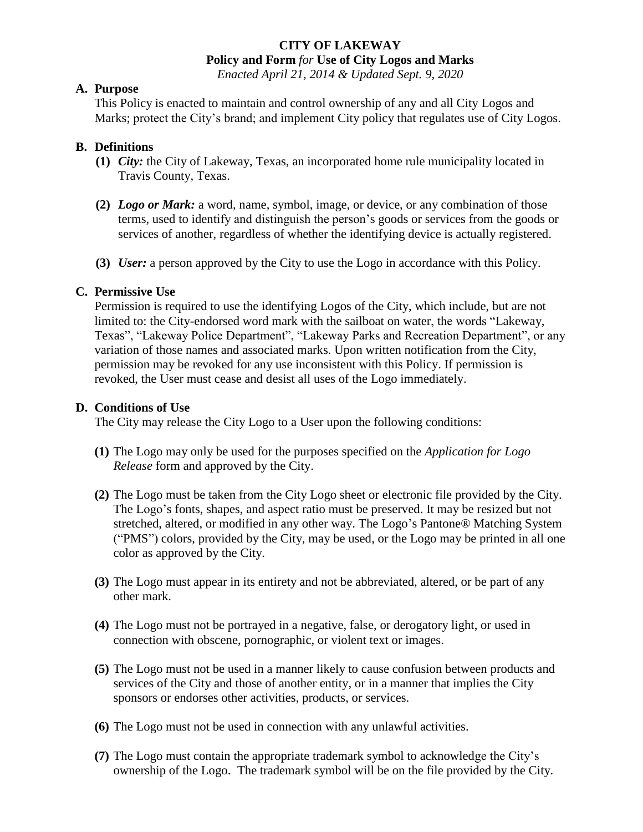# **CITY OF LAKEWAY**

**Policy and Form** *for* **Use of City Logos and Marks**

*Enacted April 21, 2014 & Updated Sept. 9, 2020*

#### **A. Purpose**

This Policy is enacted to maintain and control ownership of any and all City Logos and Marks; protect the City's brand; and implement City policy that regulates use of City Logos.

#### **B. Definitions**

- **(1)** *City:* the City of Lakeway, Texas, an incorporated home rule municipality located in Travis County, Texas.
- **(2)** *Logo or Mark:* a word, name, symbol, image, or device, or any combination of those terms, used to identify and distinguish the person's goods or services from the goods or services of another, regardless of whether the identifying device is actually registered.
- **(3)** *User:* a person approved by the City to use the Logo in accordance with this Policy.

## **C. Permissive Use**

Permission is required to use the identifying Logos of the City, which include, but are not limited to: the City-endorsed word mark with the sailboat on water, the words "Lakeway, Texas", "Lakeway Police Department", "Lakeway Parks and Recreation Department", or any variation of those names and associated marks. Upon written notification from the City, permission may be revoked for any use inconsistent with this Policy. If permission is revoked, the User must cease and desist all uses of the Logo immediately.

#### **D. Conditions of Use**

The City may release the City Logo to a User upon the following conditions:

- **(1)** The Logo may only be used for the purposes specified on the *Application for Logo Release* form and approved by the City.
- **(2)** The Logo must be taken from the City Logo sheet or electronic file provided by the City. The Logo's fonts, shapes, and aspect ratio must be preserved. It may be resized but not stretched, altered, or modified in any other way. The Logo's Pantone® Matching System ("PMS") colors, provided by the City, may be used, or the Logo may be printed in all one color as approved by the City.
- **(3)** The Logo must appear in its entirety and not be abbreviated, altered, or be part of any other mark.
- **(4)** The Logo must not be portrayed in a negative, false, or derogatory light, or used in connection with obscene, pornographic, or violent text or images.
- **(5)** The Logo must not be used in a manner likely to cause confusion between products and services of the City and those of another entity, or in a manner that implies the City sponsors or endorses other activities, products, or services.
- **(6)** The Logo must not be used in connection with any unlawful activities.
- **(7)** The Logo must contain the appropriate trademark symbol to acknowledge the City's ownership of the Logo. The trademark symbol will be on the file provided by the City.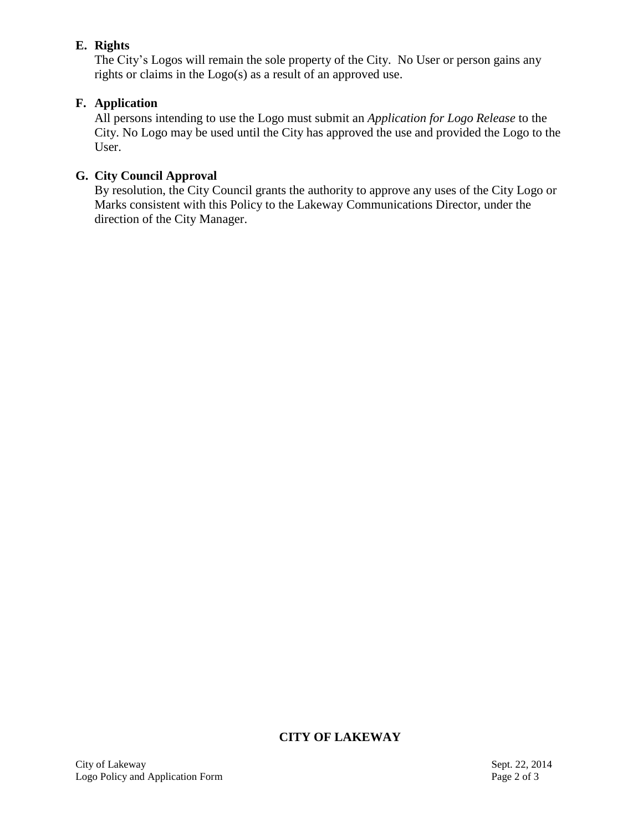## **E. Rights**

The City's Logos will remain the sole property of the City. No User or person gains any rights or claims in the Logo(s) as a result of an approved use.

# **F. Application**

All persons intending to use the Logo must submit an *Application for Logo Release* to the City. No Logo may be used until the City has approved the use and provided the Logo to the User.

# **G. City Council Approval**

By resolution, the City Council grants the authority to approve any uses of the City Logo or Marks consistent with this Policy to the Lakeway Communications Director, under the direction of the City Manager.

# **CITY OF LAKEWAY**